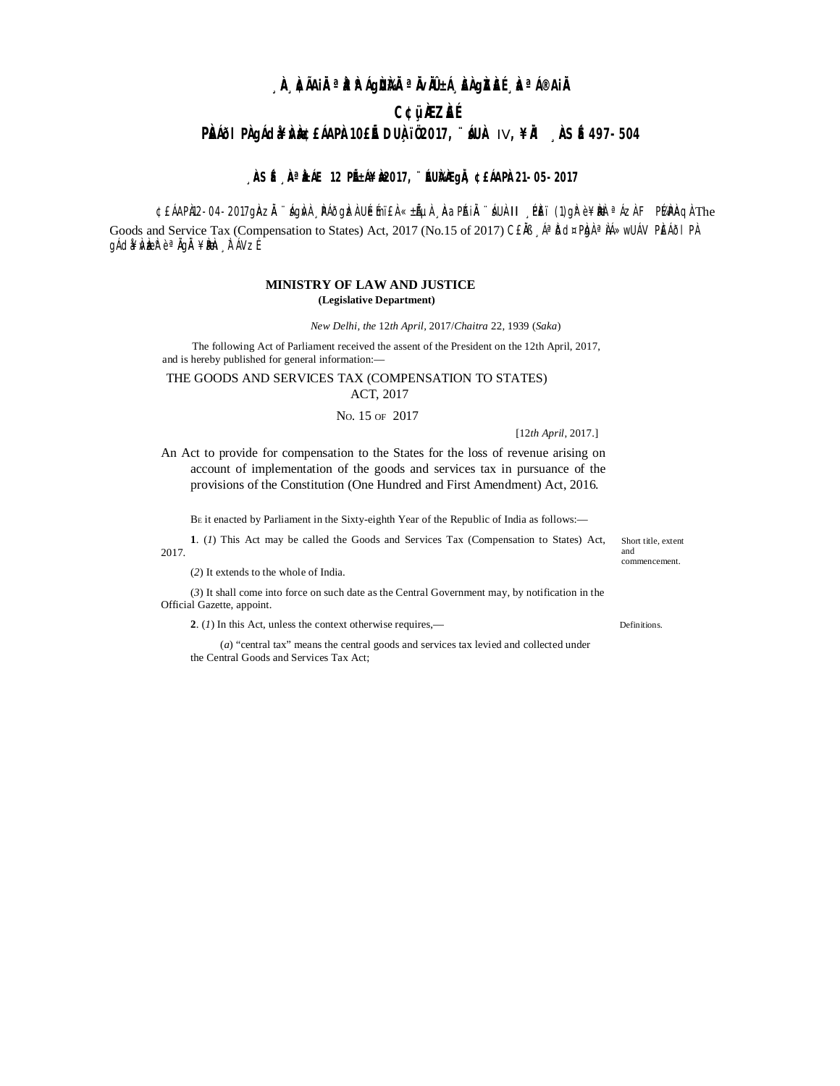# **¸ÀA¸À¢ÃAiÀÄ ªÀåªÀºÁgÀUÀ¼ÀÄ ªÀÄvÀÄÛ ±Á¸À£À gÀZÀ£É ¸ÀaªÁ®AiÀÄ C¢ü¸ÀÆZÀ£É PÀI<sup>61</sup> PÀ gÁ dã <del>l</del>Á gADA 10£É DUÀ 102017, ÚSLÀ IV, ¥À , À SÉ 497-504**

### , **ÀSÉ À<sup>a</sup>ÀÁE 12 PÉÁ¥À2017, ¨ÉUÀÀGÀ ¢£ÁAPÀ21-05-2017**

¢£ÁAPÀ12-04-2017gÀZĂ ¨ ágÀvÀ ¸ PÁðgÞzÀ UÉmï£À «±ÃµÀ ¸ ÀaPÁiÀ ¨ áUÀ-II ¸ PÈï (1)gh° è ¥ ÞÐA ª ÁzÀ F P¼APÀQÀ The

Goods and Service Tax (Compensation to States) Act, 2017 (No.15 of 2017) CEAB , A<sup>a</sup> Dd¤Phal<sup>a</sup> AA»wUAV PEAõl PA gÁdå¥ÅvÅæå°èªÄgÄ¥ÀðAn, À⊺ÁVzÉ

### **MINISTRY OF LAW AND JUSTICE (Legislative Department)**

*New Delhi, the* 12*th April,* 2017/*Chaitra* 22*,* 1939 (*Saka*)

The following Act of Parliament received the assent of the President on the 12th April, 2017, and is hereby published for general information:-

## THE GOODS AND SERVICES TAX (COMPENSATION TO STATES)

ACT, 2017

NO. 15 OF 2017

[12*th April*, 2017.]

An Act to provide for compensation to the States for the loss of revenue arising on account of implementation of the goods and services tax in pursuance of the provisions of the Constitution (One Hundred and First Amendment) Act, 2016.

B<sup>E</sup> it enacted by Parliament in the Sixty-eighth Year of the Republic of India as follows:—

1. (1) This Act may be called the Goods and Services Tax (Compensation to States) Act, Short title, extent 2017.

(*2*) It extends to the whole of India.

(*3*) It shall come into force on such date as the Central Government may, by notification in the Official Gazette, appoint.

**2**. (*1*) In this Act, unless the context otherwise requires,— Definitions.

(*a*) "central tax" means the central goods and services tax levied and collected under the Central Goods and Services Tax Act;

and commencement.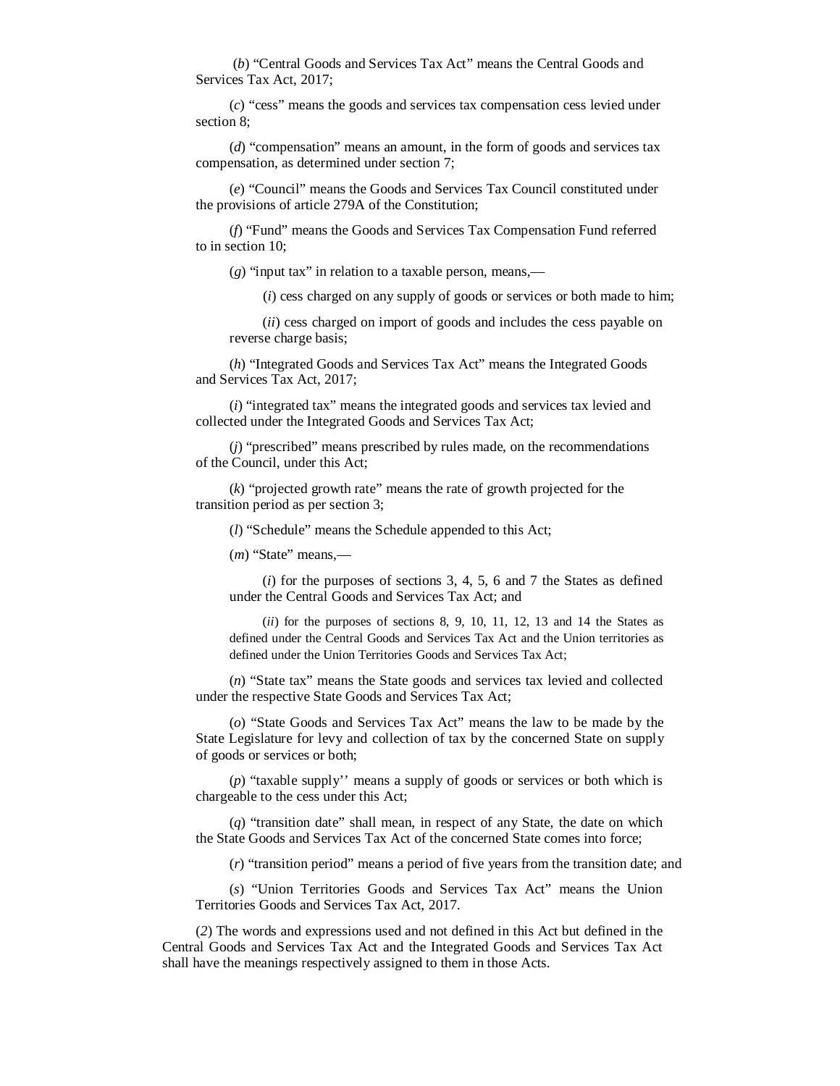(*b*) "Central Goods and Services Tax Act" means the Central Goods and Services Tax Act, 2017;

(*c*) "cess" means the goods and services tax compensation cess levied under section 8;

(*d*) "compensation" means an amount, in the form of goods and services tax compensation, as determined under section 7;

(*e*) "Council" means the Goods and Services Tax Council constituted under the provisions of article 279A of the Constitution;

(*f*) "Fund" means the Goods and Services Tax Compensation Fund referred to in section 10;

 $(g)$  "input tax" in relation to a taxable person, means,—

(*i*) cess charged on any supply of goods or services or both made to him;

(*ii*) cess charged on import of goods and includes the cess payable on reverse charge basis;

(*h*) "Integrated Goods and Services Tax Act" means the Integrated Goods and Services Tax Act, 2017;

(*i*) "integrated tax" means the integrated goods and services tax levied and collected under the Integrated Goods and Services Tax Act;

(*j*) "prescribed" means prescribed by rules made, on the recommendations of the Council, under this Act;

(*k*) "projected growth rate" means the rate of growth projected for the transition period as per section 3;

(*l*) "Schedule" means the Schedule appended to this Act;

(*m*) "State" means,––

(*i*) for the purposes of sections 3, 4, 5, 6 and 7 the States as defined under the Central Goods and Services Tax Act; and

(*ii*) for the purposes of sections 8, 9, 10, 11, 12, 13 and 14 the States as defined under the Central Goods and Services Tax Act and the Union territories as defined under the Union Territories Goods and Services Tax Act;

(*n*) "State tax" means the State goods and services tax levied and collected under the respective State Goods and Services Tax Act;

(*o*) "State Goods and Services Tax Act" means the law to be made by the State Legislature for levy and collection of tax by the concerned State on supply of goods or services or both;

(*p*) "taxable supply'' means a supply of goods or services or both which is chargeable to the cess under this Act;

(*q*) "transition date" shall mean, in respect of any State, the date on which the State Goods and Services Tax Act of the concerned State comes into force;

(*r*) "transition period" means a period of five years from the transition date; and

(*s*) "Union Territories Goods and Services Tax Act" means the Union Territories Goods and Services Tax Act, 2017.

(*2*) The words and expressions used and not defined in this Act but defined in the Central Goods and Services Tax Act and the Integrated Goods and Services Tax Act shall have the meanings respectively assigned to them in those Acts.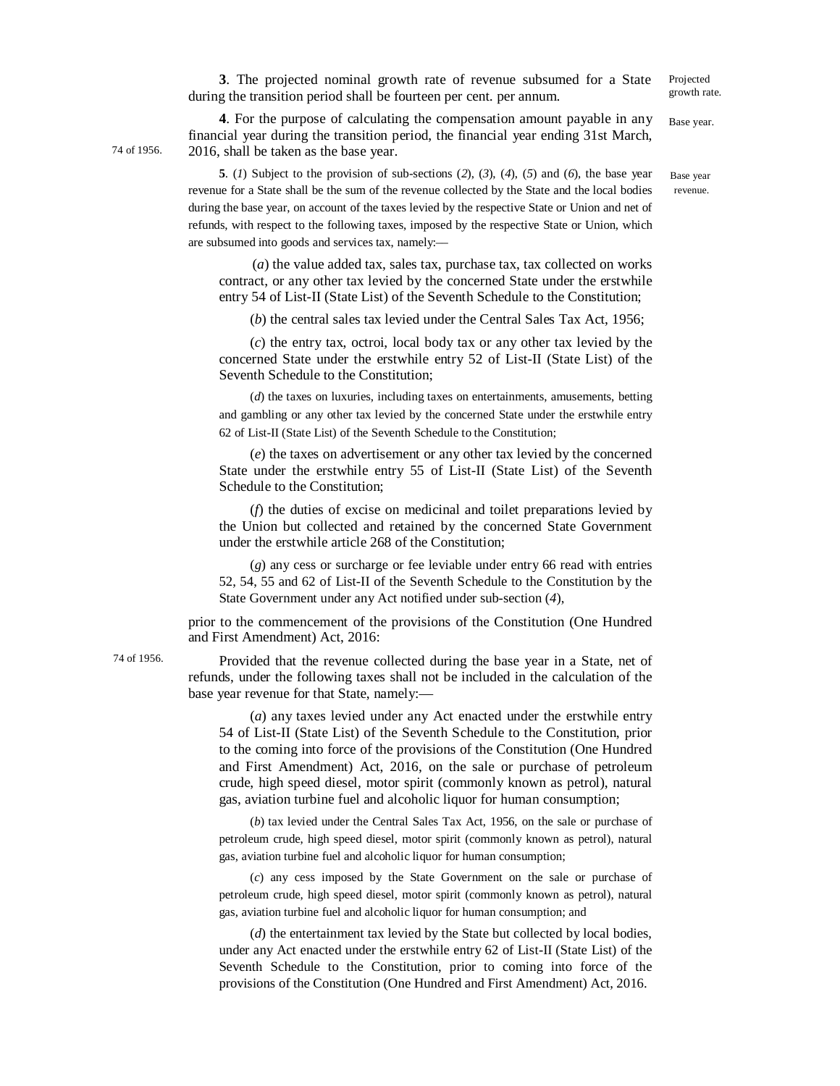**3**. The projected nominal growth rate of revenue subsumed for a State during the transition period shall be fourteen per cent. per annum.

**4**. For the purpose of calculating the compensation amount payable in any financial year during the transition period, the financial year ending 31st March, 2016, shall be taken as the base year. Base year.

Projected growth rate.

Base year revenue.

**5**. (*1*) Subject to the provision of sub-sections (*2*), (*3*), (*4*), (*5*) and (*6*), the base year revenue for a State shall be the sum of the revenue collected by the State and the local bodies during the base year, on account of the taxes levied by the respective State or Union and net of refunds, with respect to the following taxes, imposed by the respective State or Union, which are subsumed into goods and services tax, namely:––

(*a*) the value added tax, sales tax, purchase tax, tax collected on works contract, or any other tax levied by the concerned State under the erstwhile entry 54 of List-II (State List) of the Seventh Schedule to the Constitution;

(*b*) the central sales tax levied under the Central Sales Tax Act, 1956;

(*c*) the entry tax, octroi, local body tax or any other tax levied by the concerned State under the erstwhile entry 52 of List-II (State List) of the Seventh Schedule to the Constitution;

(*d*) the taxes on luxuries, including taxes on entertainments, amusements, betting and gambling or any other tax levied by the concerned State under the erstwhile entry 62 of List-II (State List) of the Seventh Schedule to the Constitution;

(*e*) the taxes on advertisement or any other tax levied by the concerned State under the erstwhile entry 55 of List-II (State List) of the Seventh Schedule to the Constitution;

(*f*) the duties of excise on medicinal and toilet preparations levied by the Union but collected and retained by the concerned State Government under the erstwhile article 268 of the Constitution;

(*g*) any cess or surcharge or fee leviable under entry 66 read with entries 52, 54, 55 and 62 of List-II of the Seventh Schedule to the Constitution by the State Government under any Act notified under sub-section (*4*),

prior to the commencement of the provisions of the Constitution (One Hundred and First Amendment) Act, 2016:

74 of 1956.

Provided that the revenue collected during the base year in a State, net of refunds, under the following taxes shall not be included in the calculation of the base year revenue for that State, namely:—

(*a*) any taxes levied under any Act enacted under the erstwhile entry 54 of List-II (State List) of the Seventh Schedule to the Constitution, prior to the coming into force of the provisions of the Constitution (One Hundred and First Amendment) Act, 2016, on the sale or purchase of petroleum crude, high speed diesel, motor spirit (commonly known as petrol), natural gas, aviation turbine fuel and alcoholic liquor for human consumption;

(*b*) tax levied under the Central Sales Tax Act, 1956, on the sale or purchase of petroleum crude, high speed diesel, motor spirit (commonly known as petrol), natural gas, aviation turbine fuel and alcoholic liquor for human consumption;

(*c*) any cess imposed by the State Government on the sale or purchase of petroleum crude, high speed diesel, motor spirit (commonly known as petrol), natural gas, aviation turbine fuel and alcoholic liquor for human consumption; and

(*d*) the entertainment tax levied by the State but collected by local bodies, under any Act enacted under the erstwhile entry 62 of List-II (State List) of the Seventh Schedule to the Constitution, prior to coming into force of the provisions of the Constitution (One Hundred and First Amendment) Act, 2016.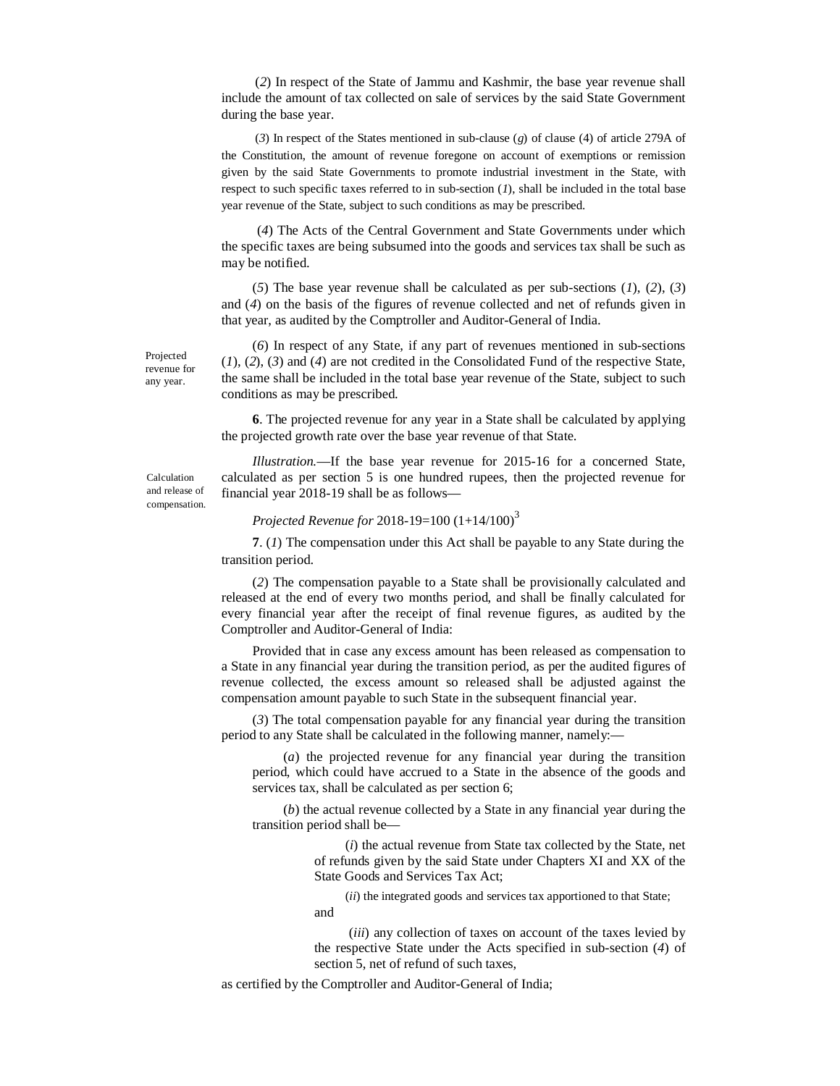(*2*) In respect of the State of Jammu and Kashmir, the base year revenue shall include the amount of tax collected on sale of services by the said State Government during the base year.

(*3*) In respect of the States mentioned in sub-clause (*g*) of clause (4) of article 279A of the Constitution, the amount of revenue foregone on account of exemptions or remission given by the said State Governments to promote industrial investment in the State, with respect to such specific taxes referred to in sub-section (*1*), shall be included in the total base year revenue of the State, subject to such conditions as may be prescribed.

(*4*) The Acts of the Central Government and State Governments under which the specific taxes are being subsumed into the goods and services tax shall be such as may be notified.

(*5*) The base year revenue shall be calculated as per sub-sections (*1*), (*2*), (*3*) and (*4*) on the basis of the figures of revenue collected and net of refunds given in that year, as audited by the Comptroller and Auditor-General of India.

(*6*) In respect of any State, if any part of revenues mentioned in sub-sections (*1*), (*2*), (*3*) and (*4*) are not credited in the Consolidated Fund of the respective State, the same shall be included in the total base year revenue of the State, subject to such conditions as may be prescribed.

**6**. The projected revenue for any year in a State shall be calculated by applying the projected growth rate over the base year revenue of that State.

*Illustration.*—If the base year revenue for 2015-16 for a concerned State, calculated as per section 5 is one hundred rupees, then the projected revenue for financial year 2018-19 shall be as follows—

*Projected Revenue for* 2018-19=100 (1+14/100)<sup>3</sup>

**7**. (*1*) The compensation under this Act shall be payable to any State during the transition period.

(*2*) The compensation payable to a State shall be provisionally calculated and released at the end of every two months period, and shall be finally calculated for every financial year after the receipt of final revenue figures, as audited by the Comptroller and Auditor-General of India:

Provided that in case any excess amount has been released as compensation to a State in any financial year during the transition period, as per the audited figures of revenue collected, the excess amount so released shall be adjusted against the compensation amount payable to such State in the subsequent financial year.

(*3*) The total compensation payable for any financial year during the transition period to any State shall be calculated in the following manner, namely:––

(*a*) the projected revenue for any financial year during the transition period, which could have accrued to a State in the absence of the goods and services tax, shall be calculated as per section 6;

(*b*) the actual revenue collected by a State in any financial year during the transition period shall be—

> (*i*) the actual revenue from State tax collected by the State, net of refunds given by the said State under Chapters XI and XX of the State Goods and Services Tax Act;

(*ii*) the integrated goods and services tax apportioned to that State;

and

(*iii*) any collection of taxes on account of the taxes levied by the respective State under the Acts specified in sub-section (*4*) of section 5, net of refund of such taxes,

as certified by the Comptroller and Auditor-General of India;

Projected revenue for any year.

Calculation and release of compensation.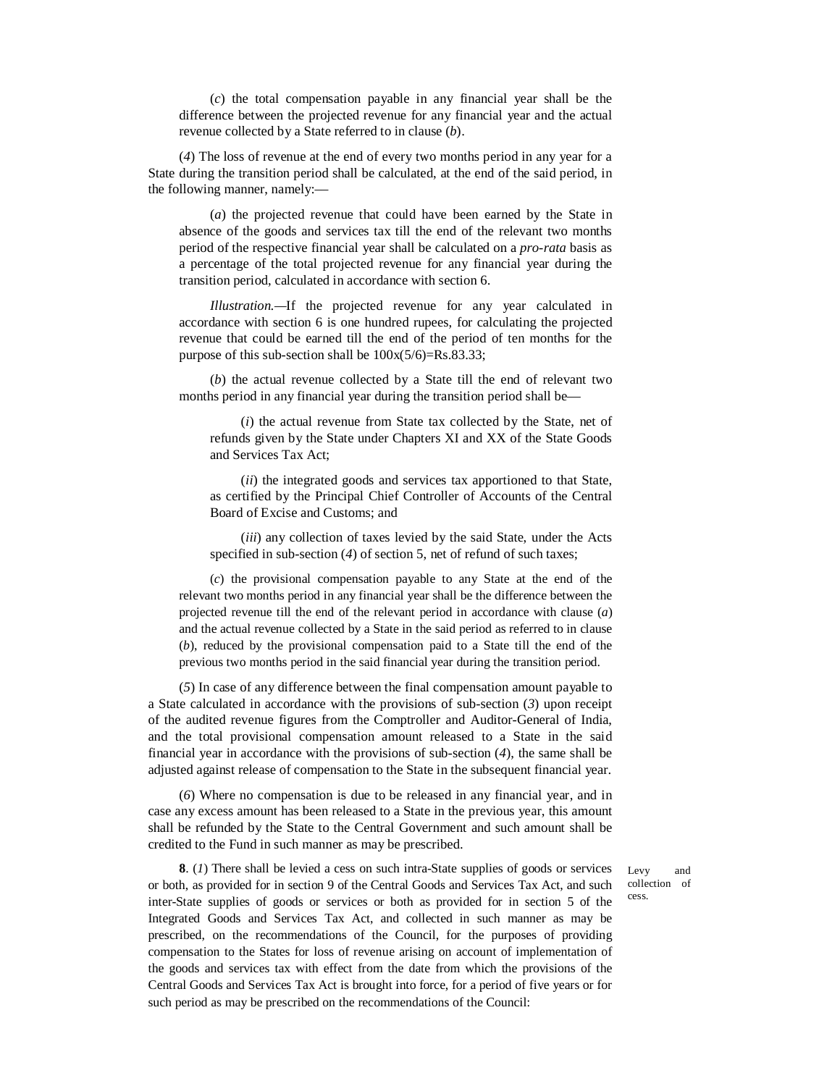(*c*) the total compensation payable in any financial year shall be the difference between the projected revenue for any financial year and the actual revenue collected by a State referred to in clause (*b*).

(*4*) The loss of revenue at the end of every two months period in any year for a State during the transition period shall be calculated, at the end of the said period, in the following manner, namely:––

(*a*) the projected revenue that could have been earned by the State in absence of the goods and services tax till the end of the relevant two months period of the respective financial year shall be calculated on a *pro-rata* basis as a percentage of the total projected revenue for any financial year during the transition period, calculated in accordance with section 6.

*Illustration.—*If the projected revenue for any year calculated in accordance with section 6 is one hundred rupees, for calculating the projected revenue that could be earned till the end of the period of ten months for the purpose of this sub-section shall be  $100x(5/6)=Rs.83.33;$ 

(*b*) the actual revenue collected by a State till the end of relevant two months period in any financial year during the transition period shall be—

(*i*) the actual revenue from State tax collected by the State, net of refunds given by the State under Chapters XI and XX of the State Goods and Services Tax Act;

(*ii*) the integrated goods and services tax apportioned to that State, as certified by the Principal Chief Controller of Accounts of the Central Board of Excise and Customs; and

(*iii*) any collection of taxes levied by the said State, under the Acts specified in sub-section (*4*) of section 5, net of refund of such taxes;

(*c*) the provisional compensation payable to any State at the end of the relevant two months period in any financial year shall be the difference between the projected revenue till the end of the relevant period in accordance with clause (*a*) and the actual revenue collected by a State in the said period as referred to in clause (*b*), reduced by the provisional compensation paid to a State till the end of the previous two months period in the said financial year during the transition period.

(*5*) In case of any difference between the final compensation amount payable to a State calculated in accordance with the provisions of sub-section (*3*) upon receipt of the audited revenue figures from the Comptroller and Auditor-General of India, and the total provisional compensation amount released to a State in the said financial year in accordance with the provisions of sub-section (*4*), the same shall be adjusted against release of compensation to the State in the subsequent financial year.

(*6*) Where no compensation is due to be released in any financial year, and in case any excess amount has been released to a State in the previous year, this amount shall be refunded by the State to the Central Government and such amount shall be credited to the Fund in such manner as may be prescribed.

**8**. (*1*) There shall be levied a cess on such intra-State supplies of goods or services or both, as provided for in section 9 of the Central Goods and Services Tax Act, and such inter-State supplies of goods or services or both as provided for in section 5 of the Integrated Goods and Services Tax Act, and collected in such manner as may be prescribed, on the recommendations of the Council, for the purposes of providing compensation to the States for loss of revenue arising on account of implementation of the goods and services tax with effect from the date from which the provisions of the Central Goods and Services Tax Act is brought into force, for a period of five years or for such period as may be prescribed on the recommendations of the Council:

Levy and collection of cess.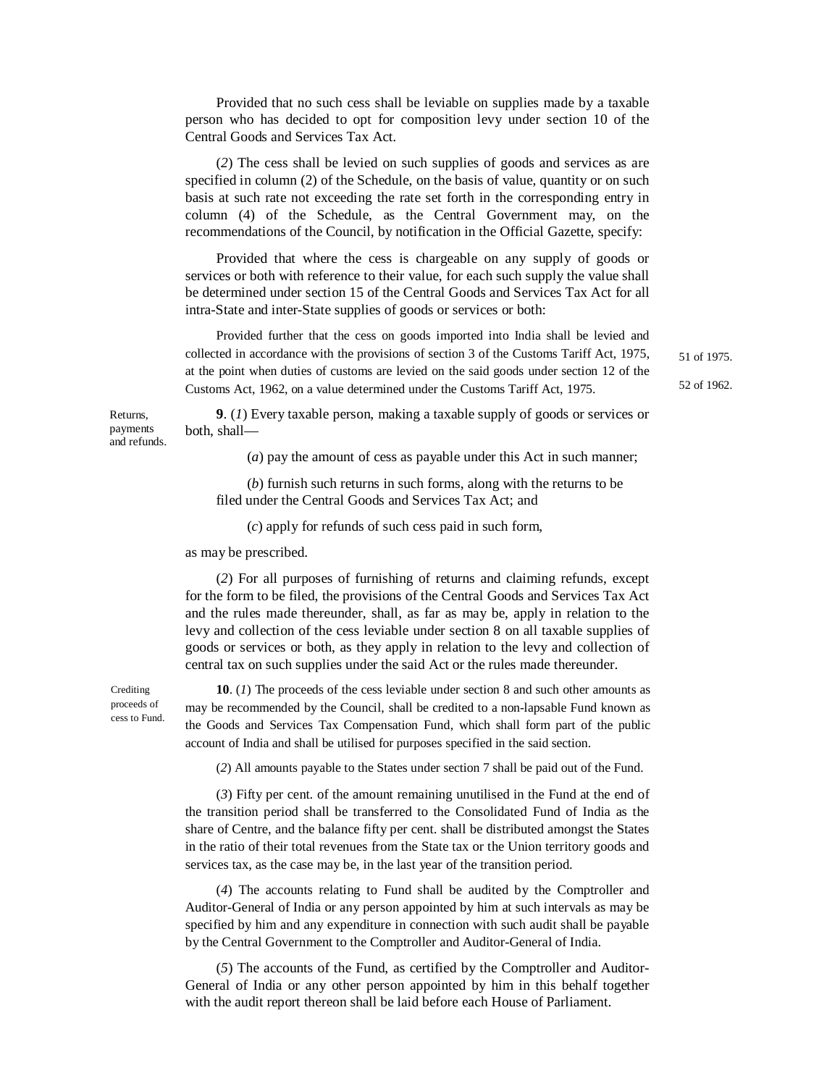Provided that no such cess shall be leviable on supplies made by a taxable person who has decided to opt for composition levy under section 10 of the Central Goods and Services Tax Act.

(*2*) The cess shall be levied on such supplies of goods and services as are specified in column (2) of the Schedule, on the basis of value, quantity or on such basis at such rate not exceeding the rate set forth in the corresponding entry in column (4) of the Schedule, as the Central Government may, on the recommendations of the Council, by notification in the Official Gazette, specify:

Provided that where the cess is chargeable on any supply of goods or services or both with reference to their value, for each such supply the value shall be determined under section 15 of the Central Goods and Services Tax Act for all intra-State and inter-State supplies of goods or services or both:

Provided further that the cess on goods imported into India shall be levied and collected in accordance with the provisions of section 3 of the Customs Tariff Act, 1975, at the point when duties of customs are levied on the said goods under section 12 of the Customs Act, 1962, on a value determined under the Customs Tariff Act, 1975.

51 of 1975. 52 of 1962.

Returns, payments and refunds.

**9**. (*1*) Every taxable person, making a taxable supply of goods or services or both, shall—

(*a*) pay the amount of cess as payable under this Act in such manner;

(*b*) furnish such returns in such forms, along with the returns to be filed under the Central Goods and Services Tax Act; and

(*c*) apply for refunds of such cess paid in such form,

as may be prescribed.

(*2*) For all purposes of furnishing of returns and claiming refunds, except for the form to be filed, the provisions of the Central Goods and Services Tax Act and the rules made thereunder, shall, as far as may be, apply in relation to the levy and collection of the cess leviable under section 8 on all taxable supplies of goods or services or both, as they apply in relation to the levy and collection of central tax on such supplies under the said Act or the rules made thereunder.

**Crediting** proceeds of cess to Fund.

**10**. (*1*) The proceeds of the cess leviable under section 8 and such other amounts as may be recommended by the Council, shall be credited to a non-lapsable Fund known as the Goods and Services Tax Compensation Fund, which shall form part of the public account of India and shall be utilised for purposes specified in the said section.

(*2*) All amounts payable to the States under section 7 shall be paid out of the Fund.

(*3*) Fifty per cent. of the amount remaining unutilised in the Fund at the end of the transition period shall be transferred to the Consolidated Fund of India as the share of Centre, and the balance fifty per cent. shall be distributed amongst the States in the ratio of their total revenues from the State tax or the Union territory goods and services tax, as the case may be, in the last year of the transition period.

(*4*) The accounts relating to Fund shall be audited by the Comptroller and Auditor-General of India or any person appointed by him at such intervals as may be specified by him and any expenditure in connection with such audit shall be payable by the Central Government to the Comptroller and Auditor-General of India.

(*5*) The accounts of the Fund, as certified by the Comptroller and Auditor-General of India or any other person appointed by him in this behalf together with the audit report thereon shall be laid before each House of Parliament.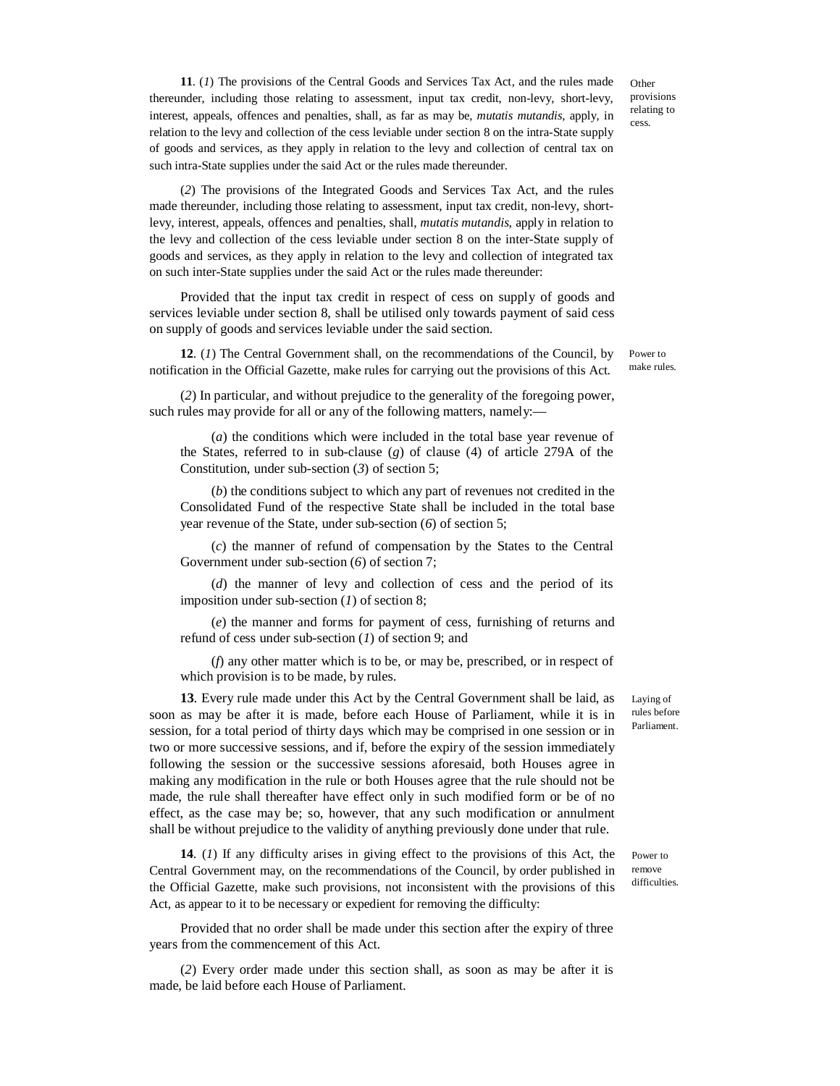**Other** provisions relating to cess.

**11**. (*1*) The provisions of the Central Goods and Services Tax Act, and the rules made thereunder, including those relating to assessment, input tax credit, non-levy, short-levy, interest, appeals, offences and penalties, shall, as far as may be, *mutatis mutandis*, apply, in relation to the levy and collection of the cess leviable under section 8 on the intra-State supply of goods and services, as they apply in relation to the levy and collection of central tax on such intra-State supplies under the said Act or the rules made thereunder.

(*2*) The provisions of the Integrated Goods and Services Tax Act, and the rules made thereunder, including those relating to assessment, input tax credit, non-levy, shortlevy, interest, appeals, offences and penalties, shall, *mutatis mutandis*, apply in relation to the levy and collection of the cess leviable under section 8 on the inter-State supply of goods and services, as they apply in relation to the levy and collection of integrated tax on such inter-State supplies under the said Act or the rules made thereunder:

Provided that the input tax credit in respect of cess on supply of goods and services leviable under section 8, shall be utilised only towards payment of said cess on supply of goods and services leviable under the said section.

**12**. (*1*) The Central Government shall, on the recommendations of the Council, by notification in the Official Gazette, make rules for carrying out the provisions of this Act.

(*2*) In particular, and without prejudice to the generality of the foregoing power, such rules may provide for all or any of the following matters, namely:—

(*a*) the conditions which were included in the total base year revenue of the States, referred to in sub-clause (*g*) of clause (4) of article 279A of the Constitution, under sub-section (*3*) of section 5;

(*b*) the conditions subject to which any part of revenues not credited in the Consolidated Fund of the respective State shall be included in the total base year revenue of the State, under sub-section (*6*) of section 5;

(*c*) the manner of refund of compensation by the States to the Central Government under sub-section (*6*) of section 7;

(*d*) the manner of levy and collection of cess and the period of its imposition under sub-section (*1*) of section 8;

(*e*) the manner and forms for payment of cess, furnishing of returns and refund of cess under sub-section (*1*) of section 9; and

(*f*) any other matter which is to be, or may be, prescribed, or in respect of which provision is to be made, by rules.

**13**. Every rule made under this Act by the Central Government shall be laid, as soon as may be after it is made, before each House of Parliament, while it is in session, for a total period of thirty days which may be comprised in one session or in two or more successive sessions, and if, before the expiry of the session immediately following the session or the successive sessions aforesaid, both Houses agree in making any modification in the rule or both Houses agree that the rule should not be made, the rule shall thereafter have effect only in such modified form or be of no effect, as the case may be; so, however, that any such modification or annulment shall be without prejudice to the validity of anything previously done under that rule.

**14**. (*1*) If any difficulty arises in giving effect to the provisions of this Act, the Central Government may, on the recommendations of the Council, by order published in the Official Gazette, make such provisions, not inconsistent with the provisions of this Act, as appear to it to be necessary or expedient for removing the difficulty:

Provided that no order shall be made under this section after the expiry of three years from the commencement of this Act.

(*2*) Every order made under this section shall, as soon as may be after it is made, be laid before each House of Parliament.

Laying of rules before Parliament.

Power to remove difficulties.

Power to make rules.